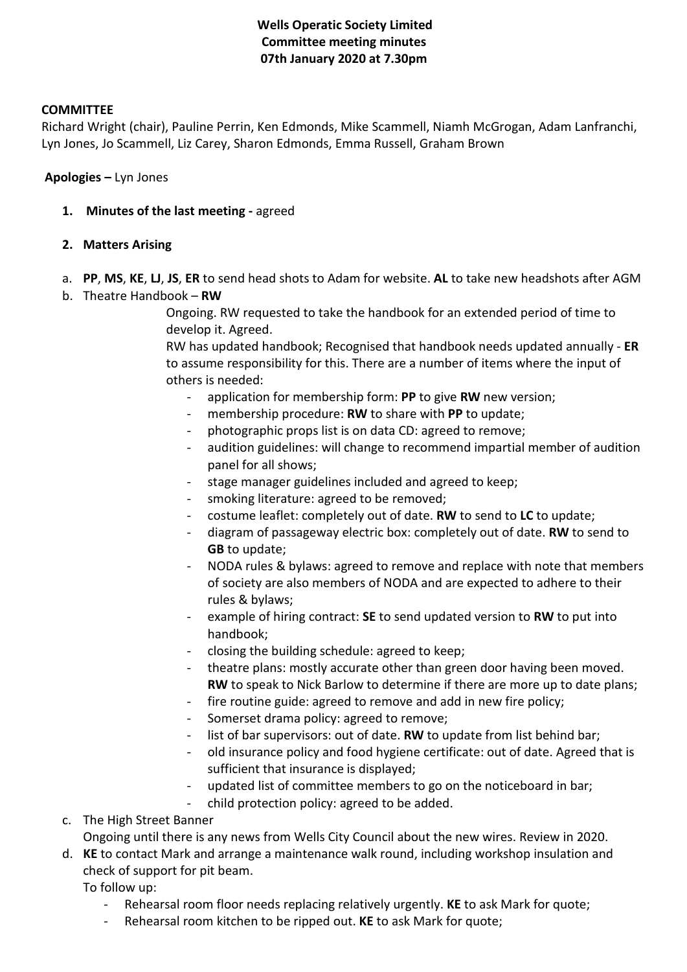## **Wells Operatic Society Limited Committee meeting minutes 07th January 2020 at 7.30pm**

#### **COMMITTEE**

Richard Wright (chair), Pauline Perrin, Ken Edmonds, Mike Scammell, Niamh McGrogan, Adam Lanfranchi, Lyn Jones, Jo Scammell, Liz Carey, Sharon Edmonds, Emma Russell, Graham Brown

**Apologies –** Lyn Jones

- **1. Minutes of the last meeting -** agreed
- **2. Matters Arising**
- a. **PP**, **MS**, **KE**, **LJ**, **JS**, **ER** to send head shots to Adam for website. **AL** to take new headshots after AGM
- b. Theatre Handbook **RW**

Ongoing. RW requested to take the handbook for an extended period of time to develop it. Agreed.

RW has updated handbook; Recognised that handbook needs updated annually - **ER**  to assume responsibility for this. There are a number of items where the input of others is needed:

- application for membership form: **PP** to give **RW** new version;
- membership procedure: **RW** to share with PP to update;
- photographic props list is on data CD: agreed to remove;
- audition guidelines: will change to recommend impartial member of audition panel for all shows;
- stage manager guidelines included and agreed to keep;
- smoking literature: agreed to be removed;
- costume leaflet: completely out of date. **RW** to send to **LC** to update;
- diagram of passageway electric box: completely out of date. **RW** to send to **GB** to update;
- NODA rules & bylaws: agreed to remove and replace with note that members of society are also members of NODA and are expected to adhere to their rules & bylaws;
- example of hiring contract: **SE** to send updated version to **RW** to put into handbook;
- closing the building schedule: agreed to keep;
- theatre plans: mostly accurate other than green door having been moved. **RW** to speak to Nick Barlow to determine if there are more up to date plans;
- fire routine guide: agreed to remove and add in new fire policy;
- Somerset drama policy: agreed to remove;
- list of bar supervisors: out of date. **RW** to update from list behind bar;
- old insurance policy and food hygiene certificate: out of date. Agreed that is sufficient that insurance is displayed;
- updated list of committee members to go on the noticeboard in bar;
- child protection policy: agreed to be added.
- c. The High Street Banner

Ongoing until there is any news from Wells City Council about the new wires. Review in 2020.

- d. **KE** to contact Mark and arrange a maintenance walk round, including workshop insulation and check of support for pit beam.
	- To follow up:
		- Rehearsal room floor needs replacing relatively urgently. **KE** to ask Mark for quote;
		- Rehearsal room kitchen to be ripped out. **KE** to ask Mark for quote;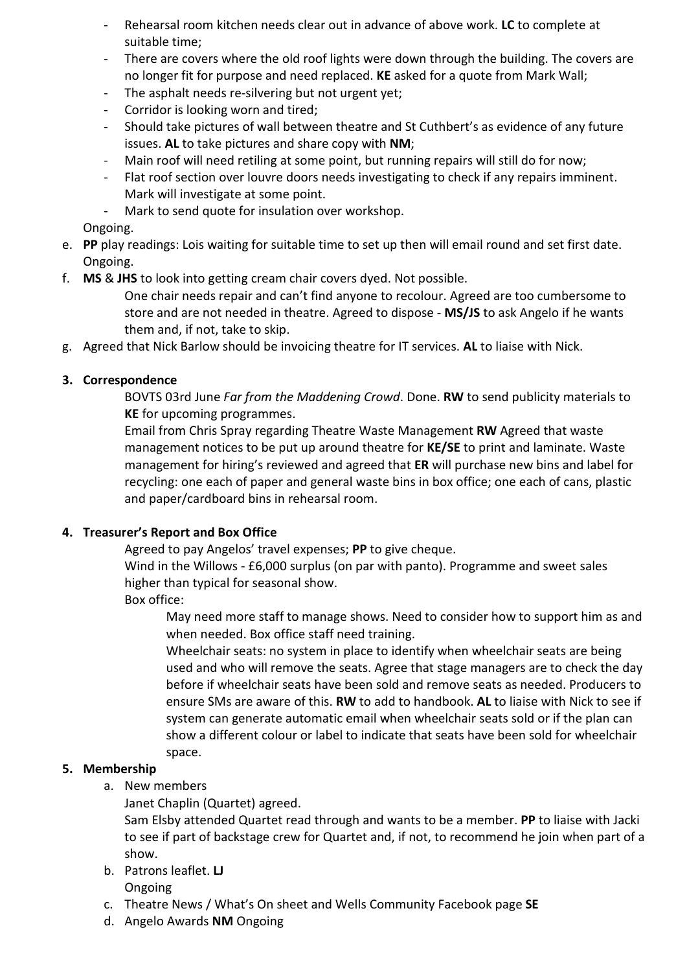- Rehearsal room kitchen needs clear out in advance of above work. **LC** to complete at suitable time;
- There are covers where the old roof lights were down through the building. The covers are no longer fit for purpose and need replaced. **KE** asked for a quote from Mark Wall;
- The asphalt needs re-silvering but not urgent yet;
- Corridor is looking worn and tired;
- Should take pictures of wall between theatre and St Cuthbert's as evidence of any future issues. **AL** to take pictures and share copy with **NM**;
- Main roof will need retiling at some point, but running repairs will still do for now;
- Flat roof section over louvre doors needs investigating to check if any repairs imminent. Mark will investigate at some point.
- Mark to send quote for insulation over workshop.

Ongoing.

- e. **PP** play readings: Lois waiting for suitable time to set up then will email round and set first date. Ongoing.
- f. **MS** & **JHS** to look into getting cream chair covers dyed. Not possible.
	- One chair needs repair and can't find anyone to recolour. Agreed are too cumbersome to store and are not needed in theatre. Agreed to dispose - **MS/JS** to ask Angelo if he wants them and, if not, take to skip.
- g. Agreed that Nick Barlow should be invoicing theatre for IT services. **AL** to liaise with Nick.

## **3. Correspondence**

BOVTS 03rd June *Far from the Maddening Crowd*. Done. **RW** to send publicity materials to **KE** for upcoming programmes.

Email from Chris Spray regarding Theatre Waste Management **RW** Agreed that waste management notices to be put up around theatre for **KE/SE** to print and laminate. Waste management for hiring's reviewed and agreed that **ER** will purchase new bins and label for recycling: one each of paper and general waste bins in box office; one each of cans, plastic and paper/cardboard bins in rehearsal room.

### **4. Treasurer's Report and Box Office**

Agreed to pay Angelos' travel expenses; **PP** to give cheque.

Wind in the Willows - £6,000 surplus (on par with panto). Programme and sweet sales higher than typical for seasonal show.

Box office:

May need more staff to manage shows. Need to consider how to support him as and when needed. Box office staff need training.

Wheelchair seats: no system in place to identify when wheelchair seats are being used and who will remove the seats. Agree that stage managers are to check the day before if wheelchair seats have been sold and remove seats as needed. Producers to ensure SMs are aware of this. **RW** to add to handbook. **AL** to liaise with Nick to see if system can generate automatic email when wheelchair seats sold or if the plan can show a different colour or label to indicate that seats have been sold for wheelchair space.

### **5. Membership**

- a. New members
	- Janet Chaplin (Quartet) agreed.

Sam Elsby attended Quartet read through and wants to be a member. **PP** to liaise with Jacki to see if part of backstage crew for Quartet and, if not, to recommend he join when part of a show.

- b. Patrons leaflet. **LJ** Ongoing
- c. Theatre News / What's On sheet and Wells Community Facebook page **SE**
- d. Angelo Awards **NM** Ongoing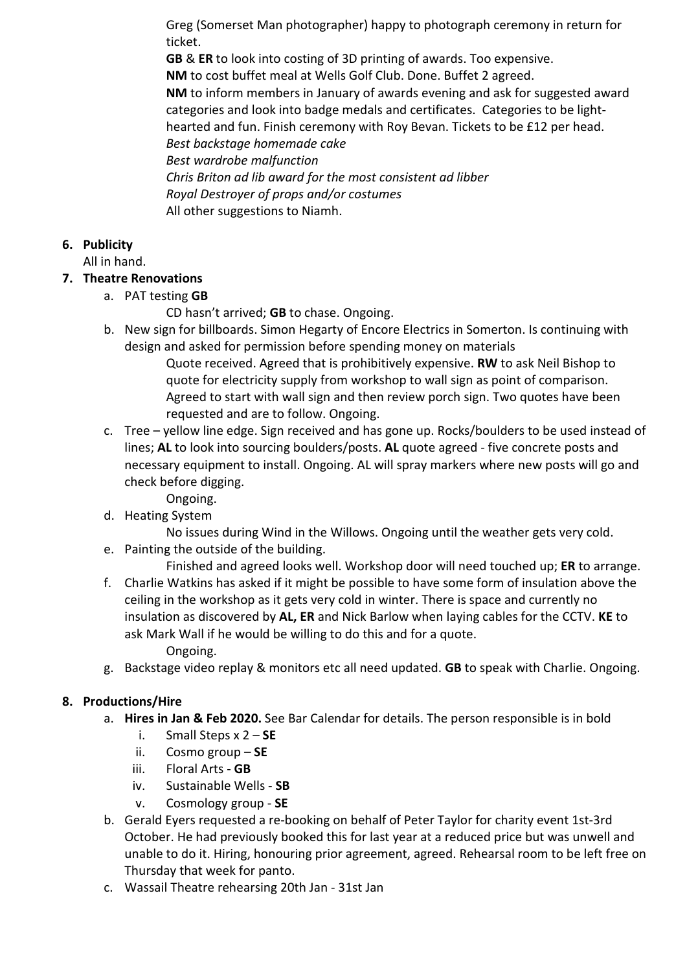Greg (Somerset Man photographer) happy to photograph ceremony in return for ticket.

**GB** & **ER** to look into costing of 3D printing of awards. Too expensive.

**NM** to cost buffet meal at Wells Golf Club. Done. Buffet 2 agreed.

**NM** to inform members in January of awards evening and ask for suggested award categories and look into badge medals and certificates. Categories to be lighthearted and fun. Finish ceremony with Roy Bevan. Tickets to be £12 per head. *Best backstage homemade cake*

*Best wardrobe malfunction*

*Chris Briton ad lib award for the most consistent ad libber Royal Destroyer of props and/or costumes* All other suggestions to Niamh.

# **6. Publicity**

All in hand.

## **7. Theatre Renovations**

a. PAT testing **GB**

CD hasn't arrived; **GB** to chase. Ongoing.

b. New sign for billboards. Simon Hegarty of Encore Electrics in Somerton. Is continuing with design and asked for permission before spending money on materials

Quote received. Agreed that is prohibitively expensive. **RW** to ask Neil Bishop to quote for electricity supply from workshop to wall sign as point of comparison. Agreed to start with wall sign and then review porch sign. Two quotes have been requested and are to follow. Ongoing.

- c. Tree yellow line edge. Sign received and has gone up. Rocks/boulders to be used instead of lines; **AL** to look into sourcing boulders/posts. **AL** quote agreed - five concrete posts and necessary equipment to install. Ongoing. AL will spray markers where new posts will go and check before digging.
	- Ongoing.
- d. Heating System

No issues during Wind in the Willows. Ongoing until the weather gets very cold.

e. Painting the outside of the building.

Finished and agreed looks well. Workshop door will need touched up; **ER** to arrange.

- f. Charlie Watkins has asked if it might be possible to have some form of insulation above the ceiling in the workshop as it gets very cold in winter. There is space and currently no insulation as discovered by **AL, ER** and Nick Barlow when laying cables for the CCTV. **KE** to ask Mark Wall if he would be willing to do this and for a quote. Ongoing.
- g. Backstage video replay & monitors etc all need updated. **GB** to speak with Charlie. Ongoing.

## **8. Productions/Hire**

- a. **Hires in Jan & Feb 2020.** See Bar Calendar for details. The person responsible is in bold
	- i. Small Steps x 2 **SE**
	- ii. Cosmo group **SE**
	- iii. Floral Arts **GB**
	- iv. Sustainable Wells **SB**
	- v. Cosmology group **SE**
- b. Gerald Eyers requested a re-booking on behalf of Peter Taylor for charity event 1st-3rd October. He had previously booked this for last year at a reduced price but was unwell and unable to do it. Hiring, honouring prior agreement, agreed. Rehearsal room to be left free on Thursday that week for panto.
- c. Wassail Theatre rehearsing 20th Jan 31st Jan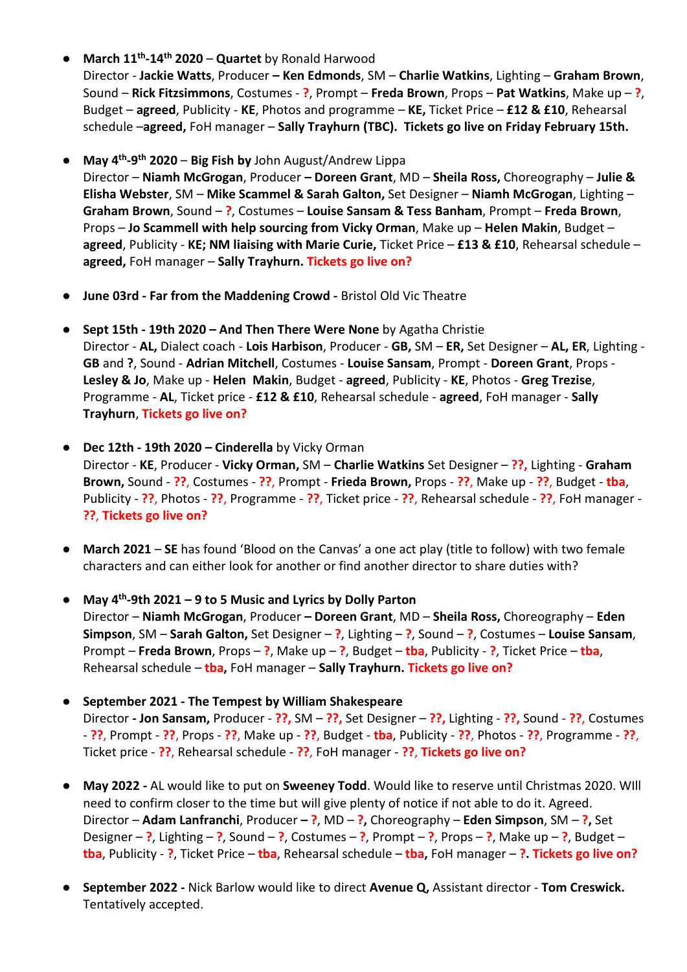● **March 11th-14th 2020** – **Quartet** by Ronald Harwood

Director - **Jackie Watts**, Producer **– Ken Edmonds**, SM – **Charlie Watkins**, Lighting – **Graham Brown**, Sound – **Rick Fitzsimmons**, Costumes - **?**, Prompt – **Freda Brown**, Props – **Pat Watkins**, Make up – **?**, Budget – **agreed**, Publicity - **KE**, Photos and programme – **KE,** Ticket Price – **£12 & £10**, Rehearsal schedule –**agreed,** FoH manager – **Sally Trayhurn (TBC). Tickets go live on Friday February 15th.**

● **May 4th-9th 2020** – **Big Fish by** John August/Andrew Lippa

Director – **Niamh McGrogan**, Producer **– Doreen Grant**, MD – **Sheila Ross,** Choreography – **Julie & Elisha Webster**, SM – **Mike Scammel & Sarah Galton,** Set Designer – **Niamh McGrogan**, Lighting – **Graham Brown**, Sound – **?**, Costumes – **Louise Sansam & Tess Banham**, Prompt – **Freda Brown**, Props – **Jo Scammell with help sourcing from Vicky Orman**, Make up – **Helen Makin**, Budget – **agreed**, Publicity - **KE; NM liaising with Marie Curie,** Ticket Price – **£13 & £10**, Rehearsal schedule – **agreed,** FoH manager – **Sally Trayhurn. Tickets go live on?**

- **June 03rd - Far from the Maddening Crowd -** Bristol Old Vic Theatre
- **Sept 15th - 19th 2020 – And Then There Were None** by Agatha Christie Director - **AL,** Dialect coach - **Lois Harbison**, Producer - **GB,** SM – **ER,** Set Designer – **AL, ER**, Lighting - **GB** and **?**, Sound - **Adrian Mitchell**, Costumes - **Louise Sansam**, Prompt - **Doreen Grant**, Props - **Lesley & Jo**, Make up - **Helen Makin**, Budget - **agreed**, Publicity - **KE**, Photos - **Greg Trezise**, Programme - **AL**, Ticket price - **£12 & £10**, Rehearsal schedule - **agreed**, FoH manager - **Sally Trayhurn**, **Tickets go live on?**
- **Dec 12th - 19th 2020 – Cinderella** by Vicky Orman Director - **KE**, Producer - **Vicky Orman,** SM – **Charlie Watkins** Set Designer – **??,** Lighting - **Graham Brown,** Sound - **??**, Costumes - **??**, Prompt - **Frieda Brown,** Props - **??**, Make up - **??**, Budget - **tba**, Publicity - **??**, Photos - **??**, Programme - **??**, Ticket price - **??**, Rehearsal schedule - **??**, FoH manager - **??**, **Tickets go live on?**
- **March 2021 SE** has found 'Blood on the Canvas' a one act play (title to follow) with two female characters and can either look for another or find another director to share duties with?
- **May 4th-9th 2021 – 9 to 5 Music and Lyrics by Dolly Parton** Director – **Niamh McGrogan**, Producer **– Doreen Grant**, MD – **Sheila Ross,** Choreography – **Eden Simpson**, SM – **Sarah Galton,** Set Designer – **?**, Lighting – **?**, Sound – **?**, Costumes – **Louise Sansam**, Prompt – **Freda Brown**, Props – **?**, Make up – **?**, Budget – **tba**, Publicity - **?**, Ticket Price – **tba**, Rehearsal schedule – **tba,** FoH manager – **Sally Trayhurn. Tickets go live on?**
- **September 2021 - The Tempest by William Shakespeare** Director **- Jon Sansam,** Producer - **??,** SM – **??,** Set Designer – **??,** Lighting - **??,** Sound - **??**, Costumes - **??**, Prompt - **??**, Props - **??**, Make up - **??**, Budget - **tba**, Publicity - **??**, Photos - **??**, Programme - **??**, Ticket price - **??**, Rehearsal schedule - **??**, FoH manager - **??**, **Tickets go live on?**
- **May 2022 -** AL would like to put on **Sweeney Todd**. Would like to reserve until Christmas 2020. WIll need to confirm closer to the time but will give plenty of notice if not able to do it. Agreed. Director – **Adam Lanfranchi**, Producer **– ?**, MD – **?,** Choreography – **Eden Simpson**, SM – **?,** Set Designer – **?**, Lighting – **?**, Sound – **?**, Costumes – **?**, Prompt – **?**, Props – **?**, Make up – **?**, Budget – **tba**, Publicity - **?**, Ticket Price – **tba**, Rehearsal schedule – **tba,** FoH manager – **?. Tickets go live on?**
- **September 2022 -** Nick Barlow would like to direct **Avenue Q,** Assistant director **Tom Creswick.** Tentatively accepted.